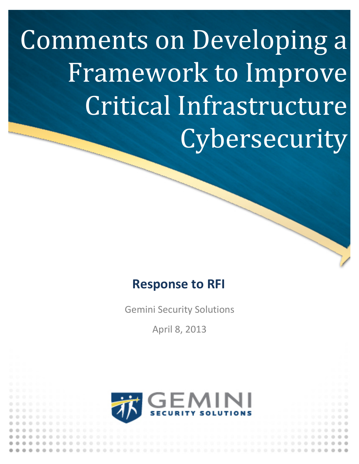Comments on Developing a Framework to Improve Critical Infrastructure **Cybersecurity** 

# **Response to RFI**

Gemini Security Solutions

April 8, 2013

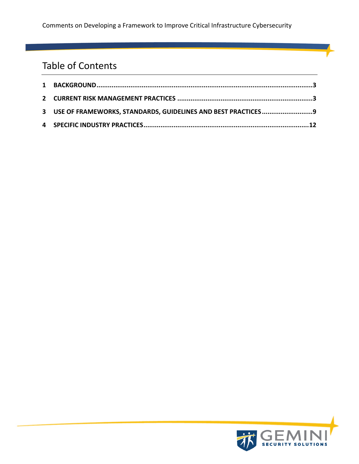# Table of Contents

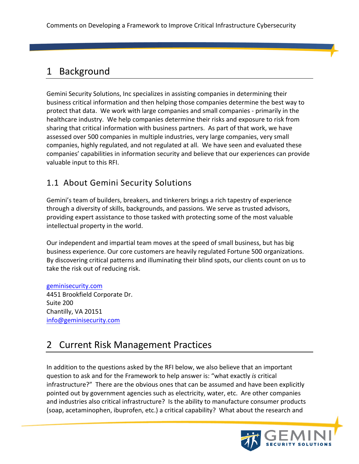# 1 Background

Gemini Security Solutions, Inc specializes in assisting companies in determining their business critical information and then helping those companies determine the best way to protect that data. We work with large companies and small companies - primarily in the healthcare industry. We help companies determine their risks and exposure to risk from sharing that critical information with business partners. As part of that work, we have assessed over 500 companies in multiple industries, very large companies, very small companies, highly regulated, and not regulated at all. We have seen and evaluated these companies' capabilities in information security and believe that our experiences can provide valuable input to this RFI.

### 1.1 About Gemini Security Solutions

Gemini's team of builders, breakers, and tinkerers brings a rich tapestry of experience through a diversity of skills, backgrounds, and passions. We serve as trusted advisors, providing expert assistance to those tasked with protecting some of the most valuable intellectual property in the world.

Our independent and impartial team moves at the speed of small business, but has big business experience. Our core customers are heavily regulated Fortune 500 organizations. By discovering critical patterns and illuminating their blind spots, our clients count on us to take the risk out of reducing risk.

geminisecurity.com 4451 Brookfield Corporate Dr. Suite 200 Chantilly, VA 20151 info@geminisecurity.com

# 2 Current Risk Management Practices

In addition to the questions asked by the RFI below, we also believe that an important question to ask and for the Framework to help answer is: "what exactly *is* critical infrastructure?" There are the obvious ones that can be assumed and have been explicitly pointed out by government agencies such as electricity, water, etc. Are other companies and industries also critical infrastructure? Is the ability to manufacture consumer products (soap, acetaminophen, ibuprofen, etc.) a critical capability? What about the research and

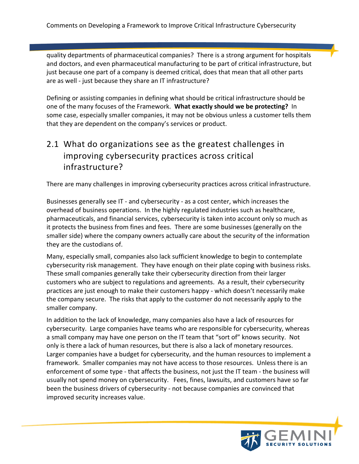quality departments of pharmaceutical companies? There is a strong argument for hospitals and doctors, and even pharmaceutical manufacturing to be part of critical infrastructure, but just because one part of a company is deemed critical, does that mean that all other parts are as well - just because they share an IT infrastructure?

Defining or assisting companies in defining what should be critical infrastructure should be one of the many focuses of the Framework. What exactly should we be protecting? In some case, especially smaller companies, it may not be obvious unless a customer tells them that they are dependent on the company's services or product.

## 2.1 What do organizations see as the greatest challenges in improving cybersecurity practices across critical infrastructure?

There are many challenges in improving cybersecurity practices across critical infrastructure.

Businesses generally see IT - and cybersecurity - as a cost center, which increases the overhead of business operations. In the highly regulated industries such as healthcare, pharmaceuticals, and financial services, cybersecurity is taken into account only so much as it protects the business from fines and fees. There are some businesses (generally on the smaller side) where the company owners actually care about the security of the information they are the custodians of.

Many, especially small, companies also lack sufficient knowledge to begin to contemplate cybersecurity risk management. They have enough on their plate coping with business risks. These small companies generally take their cybersecurity direction from their larger customers who are subject to regulations and agreements. As a result, their cybersecurity practices are just enough to make their customers happy - which doesn't necessarily make the company secure. The risks that apply to the customer do not necessarily apply to the smaller company.

In addition to the lack of knowledge, many companies also have a lack of resources for cybersecurity. Large companies have teams who are responsible for cybersecurity, whereas a small company may have one person on the IT team that "sort of" knows security. Not only is there a lack of human resources, but there is also a lack of monetary resources. Larger companies have a budget for cybersecurity, and the human resources to implement a framework. Smaller companies may not have access to those resources. Unless there is an enforcement of some type - that affects the business, not just the IT team - the business will usually not spend money on cybersecurity. Fees, fines, lawsuits, and customers have so far been the business drivers of cybersecurity - not because companies are convinced that improved security increases value.

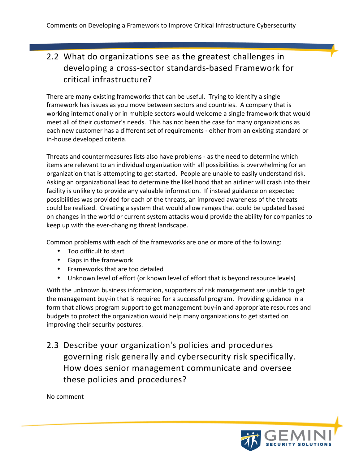# 2.2 What do organizations see as the greatest challenges in developing a cross-sector standards-based Framework for critical infrastructure?

There are many existing frameworks that can be useful. Trying to identify a single framework has issues as you move between sectors and countries. A company that is working internationally or in multiple sectors would welcome a single framework that would meet all of their customer's needs. This has not been the case for many organizations as each new customer has a different set of requirements - either from an existing standard or in-house developed criteria.

Threats and countermeasures lists also have problems - as the need to determine which items are relevant to an individual organization with all possibilities is overwhelming for an organization that is attempting to get started. People are unable to easily understand risk. Asking an organizational lead to determine the likelihood that an airliner will crash into their facility is unlikely to provide any valuable information. If instead guidance on expected possibilities was provided for each of the threats, an improved awareness of the threats could be realized. Creating a system that would allow ranges that could be updated based on changes in the world or current system attacks would provide the ability for companies to keep up with the ever-changing threat landscape.

Common problems with each of the frameworks are one or more of the following:

- Too difficult to start
- Gaps in the framework
- Frameworks that are too detailed
- Unknown level of effort (or known level of effort that is beyond resource levels)

With the unknown business information, supporters of risk management are unable to get the management buy-in that is required for a successful program. Providing guidance in a form that allows program support to get management buy-in and appropriate resources and budgets to protect the organization would help many organizations to get started on improving their security postures.

2.3 Describe your organization's policies and procedures governing risk generally and cybersecurity risk specifically. How does senior management communicate and oversee these policies and procedures?

No comment

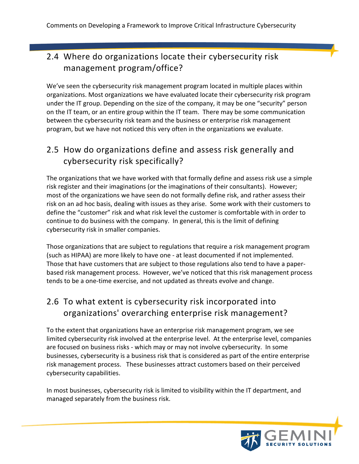# 2.4 Where do organizations locate their cybersecurity risk management program/office?

We've seen the cybersecurity risk management program located in multiple places within organizations. Most organizations we have evaluated locate their cybersecurity risk program under the IT group. Depending on the size of the company, it may be one "security" person on the IT team, or an entire group within the IT team. There may be some communication between the cybersecurity risk team and the business or enterprise risk management program, but we have not noticed this very often in the organizations we evaluate.

# 2.5 How do organizations define and assess risk generally and cybersecurity risk specifically?

The organizations that we have worked with that formally define and assess risk use a simple risk register and their imaginations (or the imaginations of their consultants). However; most of the organizations we have seen do not formally define risk, and rather assess their risk on an ad hoc basis, dealing with issues as they arise. Some work with their customers to define the "customer" risk and what risk level the customer is comfortable with in order to continue to do business with the company. In general, this is the limit of defining cybersecurity risk in smaller companies.

Those organizations that are subject to regulations that require a risk management program (such as HIPAA) are more likely to have one - at least documented if not implemented. Those that have customers that are subject to those regulations also tend to have a paperbased risk management process. However, we've noticed that this risk management process tends to be a one-time exercise, and not updated as threats evolve and change.

# 2.6 To what extent is cybersecurity risk incorporated into organizations' overarching enterprise risk management?

To the extent that organizations have an enterprise risk management program, we see limited cybersecurity risk involved at the enterprise level. At the enterprise level, companies are focused on business risks - which may or may not involve cybersecurity. In some businesses, cybersecurity is a business risk that is considered as part of the entire enterprise risk management process. These businesses attract customers based on their perceived cybersecurity capabilities.

In most businesses, cybersecurity risk is limited to visibility within the IT department, and managed separately from the business risk.

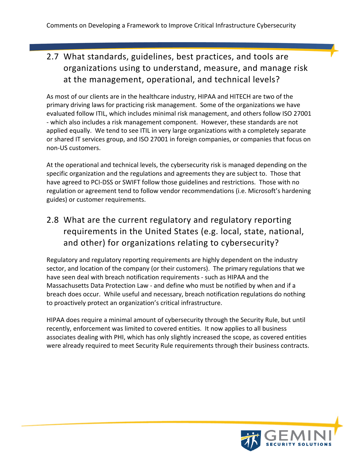# 2.7 What standards, guidelines, best practices, and tools are organizations using to understand, measure, and manage risk at the management, operational, and technical levels?

As most of our clients are in the healthcare industry, HIPAA and HITECH are two of the primary driving laws for practicing risk management. Some of the organizations we have evaluated follow ITIL, which includes minimal risk management, and others follow ISO 27001 - which also includes a risk management component. However, these standards are not applied equally. We tend to see ITIL in very large organizations with a completely separate or shared IT services group, and ISO 27001 in foreign companies, or companies that focus on non-US customers.

At the operational and technical levels, the cybersecurity risk is managed depending on the specific organization and the regulations and agreements they are subject to. Those that have agreed to PCI-DSS or SWIFT follow those guidelines and restrictions. Those with no regulation or agreement tend to follow vendor recommendations (i.e. Microsoft's hardening guides) or customer requirements.

# 2.8 What are the current regulatory and regulatory reporting requirements in the United States (e.g. local, state, national, and other) for organizations relating to cybersecurity?

Regulatory and regulatory reporting requirements are highly dependent on the industry sector, and location of the company (or their customers). The primary regulations that we have seen deal with breach notification requirements - such as HIPAA and the Massachusetts Data Protection Law - and define who must be notified by when and if a breach does occur. While useful and necessary, breach notification regulations do nothing to proactively protect an organization's critical infrastructure.

HIPAA does require a minimal amount of cybersecurity through the Security Rule, but until recently, enforcement was limited to covered entities. It now applies to all business associates dealing with PHI, which has only slightly increased the scope, as covered entities were already required to meet Security Rule requirements through their business contracts.

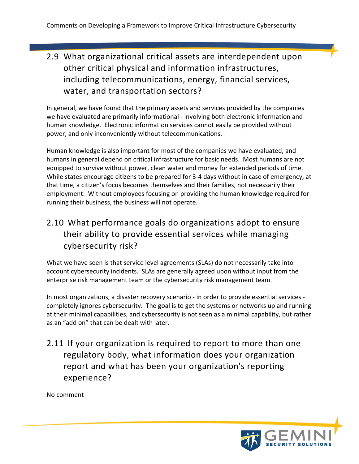# 2.9 What organizational critical assets are interdependent upon other critical physical and information infrastructures, including telecommunications, energy, financial services, water, and transportation sectors?

In general, we have found that the primary assets and services provided by the companies we have evaluated are primarily informational - involving both electronic information and human knowledge. Electronic information services cannot easily be provided without power, and only inconveniently without telecommunications.

Human knowledge is also important for most of the companies we have evaluated, and humans in general depend on critical infrastructure for basic needs. Most humans are not equipped to survive without power, clean water and money for extended periods of time. While states encourage citizens to be prepared for 3-4 days without in case of emergency, at that time, a citizen's focus becomes themselves and their families, not necessarily their employment. Without employees focusing on providing the human knowledge required for running their business, the business will not operate.

# 2.10 What performance goals do organizations adopt to ensure their ability to provide essential services while managing cybersecurity risk?

What we have seen is that service level agreements (SLAs) do not necessarily take into account cybersecurity incidents. SLAs are generally agreed upon without input from the enterprise risk management team or the cybersecurity risk management team.

In most organizations, a disaster recovery scenario - in order to provide essential services completely ignores cybersecurity. The goal is to get the systems or networks up and running at their minimal capabilities, and cybersecurity is not seen as a minimal capability, but rather as an "add on" that can be dealt with later.

2.11 If your organization is required to report to more than one regulatory body, what information does your organization report and what has been your organization's reporting experience?

No comment

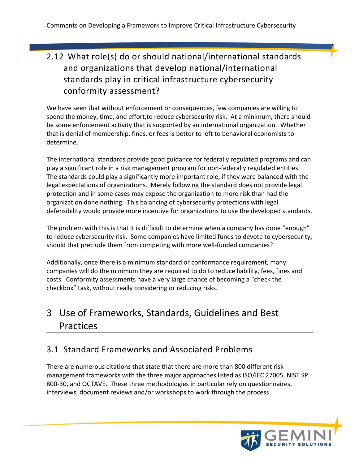# 2.12 What role(s) do or should national/international standards and organizations that develop national/international standards play in critical infrastructure cybersecurity conformity assessment?

We have seen that without enforcement or consequences, few companies are willing to spend the money, time, and effort, to reduce cybersecurity risk. At a minimum, there should be some enforcement activity that is supported by an international organization. Whether that is denial of membership, fines, or fees is better to left to behavioral economists to determine.

The international standards provide good guidance for federally regulated programs and can play a significant role in a risk management program for non-federally regulated entities. The standards could play a significantly more important role, if they were balanced with the legal expectations of organizations. Merely following the standard does not provide legal protection and in some cases may expose the organization to more risk than had the organization done nothing. This balancing of cybersecurity protections with legal defensibility would provide more incentive for organizations to use the developed standards.

The problem with this is that it is difficult to determine when a company has done "enough" to reduce cybersecurity risk. Some companies have limited funds to devote to cybersecurity, should that preclude them from competing with more well-funded companies?

Additionally, once there is a minimum standard or conformance requirement, many companies will do the minimum they are required to do to reduce liability, fees, fines and costs. Conformity assessments have a very large chance of becoming a "check the checkbox" task, without really considering or reducing risks.

# 3 Use of Frameworks, Standards, Guidelines and Best Practices

# 3.1 Standard Frameworks and Associated Problems

There are numerous citations that state that there are more than 800 different risk management frameworks with the three major approaches listed as ISO/IEC 27005, NIST SP 800-30, and OCTAVE. These three methodologies in particular rely on questionnaires, interviews, document reviews and/or workshops to work through the process.

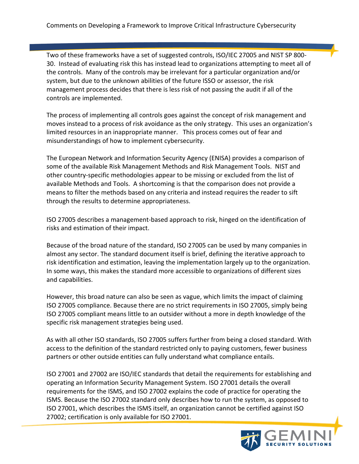Two of these frameworks have a set of suggested controls, ISO/IEC 27005 and NIST SP 800-30. Instead of evaluating risk this has instead lead to organizations attempting to meet all of the controls. Many of the controls may be irrelevant for a particular organization and/or system, but due to the unknown abilities of the future ISSO or assessor, the risk management process decides that there is less risk of not passing the audit if all of the controls are implemented.

The process of implementing all controls goes against the concept of risk management and moves instead to a process of risk avoidance as the only strategy. This uses an organization's limited resources in an inappropriate manner. This process comes out of fear and misunderstandings of how to implement cybersecurity.

The European Network and Information Security Agency (ENISA) provides a comparison of some of the available Risk Management Methods and Risk Management Tools. NIST and other country-specific methodologies appear to be missing or excluded from the list of available Methods and Tools. A shortcoming is that the comparison does not provide a means to filter the methods based on any criteria and instead requires the reader to sift through the results to determine appropriateness.

ISO 27005 describes a management-based approach to risk, hinged on the identification of risks and estimation of their impact. 

Because of the broad nature of the standard, ISO 27005 can be used by many companies in almost any sector. The standard document itself is brief, defining the iterative approach to risk identification and estimation, leaving the implementation largely up to the organization. In some ways, this makes the standard more accessible to organizations of different sizes and capabilities.

However, this broad nature can also be seen as vague, which limits the impact of claiming ISO 27005 compliance. Because there are no strict requirements in ISO 27005, simply being ISO 27005 compliant means little to an outsider without a more in depth knowledge of the specific risk management strategies being used.

As with all other ISO standards, ISO 27005 suffers further from being a closed standard. With access to the definition of the standard restricted only to paying customers, fewer business partners or other outside entities can fully understand what compliance entails.

ISO 27001 and 27002 are ISO/IEC standards that detail the requirements for establishing and operating an Information Security Management System. ISO 27001 details the overall requirements for the ISMS, and ISO 27002 explains the code of practice for operating the ISMS. Because the ISO 27002 standard only describes how to run the system, as opposed to ISO 27001, which describes the ISMS itself, an organization cannot be certified against ISO 27002; certification is only available for ISO 27001.

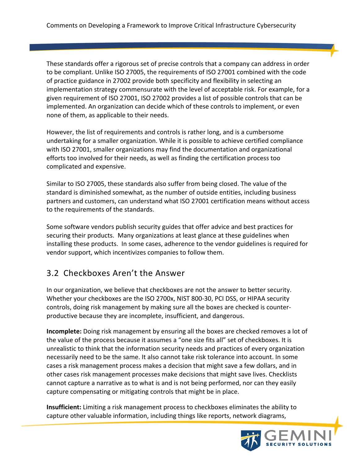These standards offer a rigorous set of precise controls that a company can address in order to be compliant. Unlike ISO 27005, the requirements of ISO 27001 combined with the code of practice guidance in 27002 provide both specificity and flexibility in selecting an implementation strategy commensurate with the level of acceptable risk. For example, for a given requirement of ISO 27001, ISO 27002 provides a list of possible controls that can be implemented. An organization can decide which of these controls to implement, or even none of them, as applicable to their needs.

However, the list of requirements and controls is rather long, and is a cumbersome undertaking for a smaller organization. While it is possible to achieve certified compliance with ISO 27001, smaller organizations may find the documentation and organizational efforts too involved for their needs, as well as finding the certification process too complicated and expensive.

Similar to ISO 27005, these standards also suffer from being closed. The value of the standard is diminished somewhat, as the number of outside entities, including business partners and customers, can understand what ISO 27001 certification means without access to the requirements of the standards.

Some software vendors publish security guides that offer advice and best practices for securing their products. Many organizations at least glance at these guidelines when installing these products. In some cases, adherence to the vendor guidelines is required for vendor support, which incentivizes companies to follow them.

#### 3.2 Checkboxes Aren't the Answer

In our organization, we believe that checkboxes are not the answer to better security. Whether your checkboxes are the ISO 2700x, NIST 800-30, PCI DSS, or HIPAA security controls, doing risk management by making sure all the boxes are checked is counterproductive because they are incomplete, insufficient, and dangerous.

**Incomplete:** Doing risk management by ensuring all the boxes are checked removes a lot of the value of the process because it assumes a "one size fits all" set of checkboxes. It is unrealistic to think that the information security needs and practices of every organization necessarily need to be the same. It also cannot take risk tolerance into account. In some cases a risk management process makes a decision that might save a few dollars, and in other cases risk management processes make decisions that might save lives. Checklists cannot capture a narrative as to what is and is not being performed, nor can they easily capture compensating or mitigating controls that might be in place.

**Insufficient:** Limiting a risk management process to checkboxes eliminates the ability to capture other valuable information, including things like reports, network diagrams,

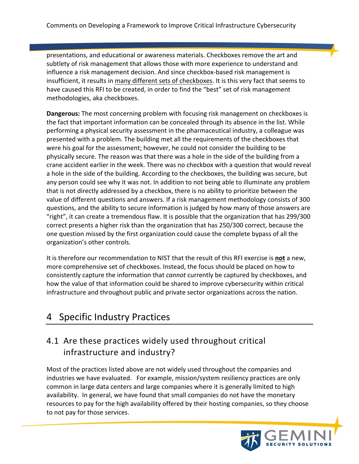presentations, and educational or awareness materials. Checkboxes remove the art and subtlety of risk management that allows those with more experience to understand and influence a risk management decision. And since checkbox-based risk management is insufficient, it results in many different sets of checkboxes. It is this very fact that seems to have caused this RFI to be created, in order to find the "best" set of risk management methodologies, aka checkboxes.

**Dangerous:** The most concerning problem with focusing risk management on checkboxes is the fact that important information can be concealed through its absence in the list. While performing a physical security assessment in the pharmaceutical industry, a colleague was presented with a problem. The building met all the requirements of the checkboxes that were his goal for the assessment; however, he could not consider the building to be physically secure. The reason was that there was a hole in the side of the building from a crane accident earlier in the week. There was no checkbox with a question that would reveal a hole in the side of the building. According to the checkboxes, the building was secure, but any person could see why it was not. In addition to not being able to illuminate any problem that is not directly addressed by a checkbox, there is no ability to prioritize between the value of different questions and answers. If a risk management methodology consists of 300 questions, and the ability to secure information is judged by how many of those answers are "right", it can create a tremendous flaw. It is possible that the organization that has 299/300 correct presents a higher risk than the organization that has 250/300 correct, because the one question missed by the first organization could cause the complete bypass of all the organization's other controls.

It is therefore our recommendation to NIST that the result of this RFI exercise is not a new, more comprehensive set of checkboxes. Instead, the focus should be placed on how to consistently capture the information that *cannot* currently be captured by checkboxes, and how the value of that information could be shared to improve cybersecurity within critical infrastructure and throughout public and private sector organizations across the nation.

# 4 Specific Industry Practices

# 4.1 Are these practices widely used throughout critical infrastructure and industry?

Most of the practices listed above are not widely used throughout the companies and industries we have evaluated. For example, mission/system resiliency practices are only common in large data centers and large companies where it is generally limited to high availability. In general, we have found that small companies do not have the monetary resources to pay for the high availability offered by their hosting companies, so they choose to not pay for those services.

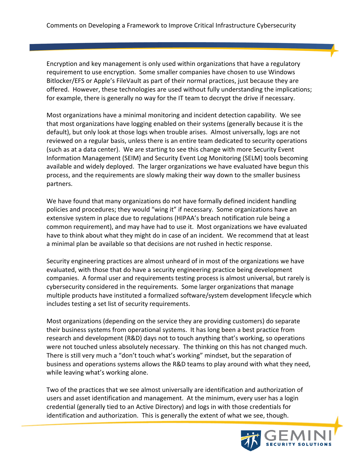Encryption and key management is only used within organizations that have a regulatory requirement to use encryption. Some smaller companies have chosen to use Windows Bitlocker/EFS or Apple's FileVault as part of their normal practices, just because they are offered. However, these technologies are used without fully understanding the implications; for example, there is generally no way for the IT team to decrypt the drive if necessary.

Most organizations have a minimal monitoring and incident detection capability. We see that most organizations have logging enabled on their systems (generally because it is the default), but only look at those logs when trouble arises. Almost universally, logs are not reviewed on a regular basis, unless there is an entire team dedicated to security operations (such as at a data center). We are starting to see this change with more Security Event Information Management (SEIM) and Security Event Log Monitoring (SELM) tools becoming available and widely deployed. The larger organizations we have evaluated have begun this process, and the requirements are slowly making their way down to the smaller business partners.

We have found that many organizations do not have formally defined incident handling policies and procedures; they would "wing it" if necessary. Some organizations have an extensive system in place due to regulations (HIPAA's breach notification rule being a common requirement), and may have had to use it. Most organizations we have evaluated have to think about what they might do in case of an incident. We recommend that at least a minimal plan be available so that decisions are not rushed in hectic response.

Security engineering practices are almost unheard of in most of the organizations we have evaluated, with those that do have a security engineering practice being development companies. A formal user and requirements testing process is almost universal, but rarely is cybersecurity considered in the requirements. Some larger organizations that manage multiple products have instituted a formalized software/system development lifecycle which includes testing a set list of security requirements.

Most organizations (depending on the service they are providing customers) do separate their business systems from operational systems. It has long been a best practice from research and development (R&D) days not to touch anything that's working, so operations were not touched unless absolutely necessary. The thinking on this has not changed much. There is still very much a "don't touch what's working" mindset, but the separation of business and operations systems allows the R&D teams to play around with what they need, while leaving what's working alone.

Two of the practices that we see almost universally are identification and authorization of users and asset identification and management. At the minimum, every user has a login credential (generally tied to an Active Directory) and logs in with those credentials for identification and authorization. This is generally the extent of what we see, though.

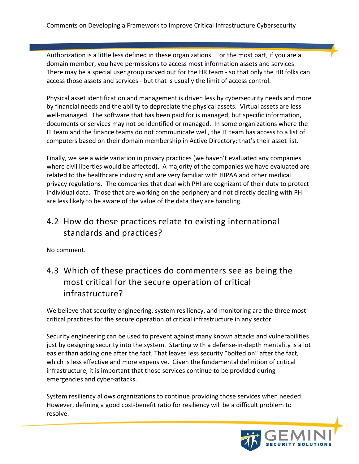Authorization is a little less defined in these organizations. For the most part, if you are a domain member, you have permissions to access most information assets and services. There may be a special user group carved out for the HR team - so that only the HR folks can access those assets and services - but that is usually the limit of access control.

Physical asset identification and management is driven less by cybersecurity needs and more by financial needs and the ability to depreciate the physical assets. Virtual assets are less well-managed. The software that has been paid for is managed, but specific information, documents or services may not be identified or managed. In some organizations where the IT team and the finance teams do not communicate well, the IT team has access to a list of computers based on their domain membership in Active Directory; that's their asset list.

Finally, we see a wide variation in privacy practices (we haven't evaluated any companies where civil liberties would be affected). A majority of the companies we have evaluated are related to the healthcare industry and are very familiar with HIPAA and other medical privacy regulations. The companies that deal with PHI are cognizant of their duty to protect individual data. Those that are working on the periphery and not directly dealing with PHI are less likely to be aware of the value of the data they are handling.

#### 4.2 How do these practices relate to existing international standards and practices?

No comment.

## 4.3 Which of these practices do commenters see as being the most critical for the secure operation of critical infrastructure?

We believe that security engineering, system resiliency, and monitoring are the three most critical practices for the secure operation of critical infrastructure in any sector.

Security engineering can be used to prevent against many known attacks and vulnerabilities just by designing security into the system. Starting with a defense-in-depth mentality is a lot easier than adding one after the fact. That leaves less security "bolted on" after the fact, which is less effective and more expensive. Given the fundamental definition of critical infrastructure, it is important that those services continue to be provided during emergencies and cyber-attacks.

System resiliency allows organizations to continue providing those services when needed. However, defining a good cost-benefit ratio for resiliency will be a difficult problem to resolve.

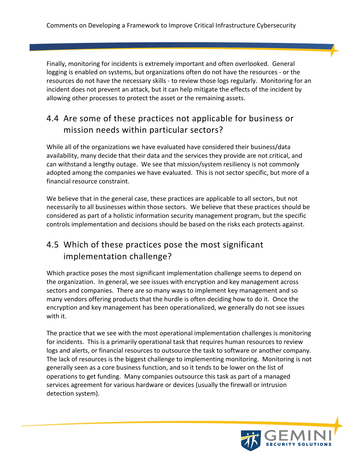Finally, monitoring for incidents is extremely important and often overlooked. General logging is enabled on systems, but organizations often do not have the resources - or the resources do not have the necessary skills - to review those logs regularly. Monitoring for an incident does not prevent an attack, but it can help mitigate the effects of the incident by allowing other processes to protect the asset or the remaining assets.

# 4.4 Are some of these practices not applicable for business or mission needs within particular sectors?

While all of the organizations we have evaluated have considered their business/data availability, many decide that their data and the services they provide are not critical, and can withstand a lengthy outage. We see that mission/system resiliency is not commonly adopted among the companies we have evaluated. This is not sector specific, but more of a financial resource constraint.

We believe that in the general case, these practices are applicable to all sectors, but not necessarily to all businesses within those sectors. We believe that these practices should be considered as part of a holistic information security management program, but the specific controls implementation and decisions should be based on the risks each protects against.

### 4.5 Which of these practices pose the most significant implementation challenge?

Which practice poses the most significant implementation challenge seems to depend on the organization. In general, we see issues with encryption and key management across sectors and companies. There are so many ways to implement key management and so many vendors offering products that the hurdle is often deciding how to do it. Once the encryption and key management has been operationalized, we generally do not see issues with it.

The practice that we see with the most operational implementation challenges is monitoring for incidents. This is a primarily operational task that requires human resources to review logs and alerts, or financial resources to outsource the task to software or another company. The lack of resources is the biggest challenge to implementing monitoring. Monitoring is not generally seen as a core business function, and so it tends to be lower on the list of operations to get funding. Many companies outsource this task as part of a managed services agreement for various hardware or devices (usually the firewall or intrusion detection system).

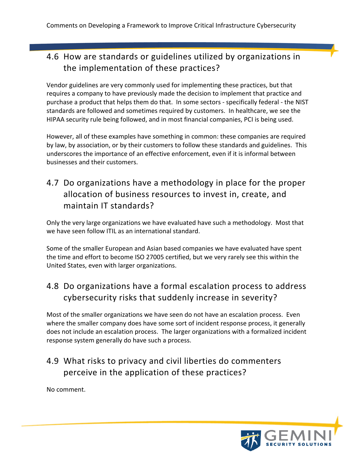# 4.6 How are standards or guidelines utilized by organizations in the implementation of these practices?

Vendor guidelines are very commonly used for implementing these practices, but that requires a company to have previously made the decision to implement that practice and purchase a product that helps them do that. In some sectors - specifically federal - the NIST standards are followed and sometimes required by customers. In healthcare, we see the HIPAA security rule being followed, and in most financial companies, PCI is being used.

However, all of these examples have something in common: these companies are required by law, by association, or by their customers to follow these standards and guidelines. This underscores the importance of an effective enforcement, even if it is informal between businesses and their customers.

# 4.7 Do organizations have a methodology in place for the proper allocation of business resources to invest in, create, and maintain IT standards?

Only the very large organizations we have evaluated have such a methodology. Most that we have seen follow ITIL as an international standard.

Some of the smaller European and Asian based companies we have evaluated have spent the time and effort to become ISO 27005 certified, but we very rarely see this within the United States, even with larger organizations.

# 4.8 Do organizations have a formal escalation process to address cybersecurity risks that suddenly increase in severity?

Most of the smaller organizations we have seen do not have an escalation process. Even where the smaller company does have some sort of incident response process, it generally does not include an escalation process. The larger organizations with a formalized incident response system generally do have such a process.

### 4.9 What risks to privacy and civil liberties do commenters perceive in the application of these practices?

No comment.